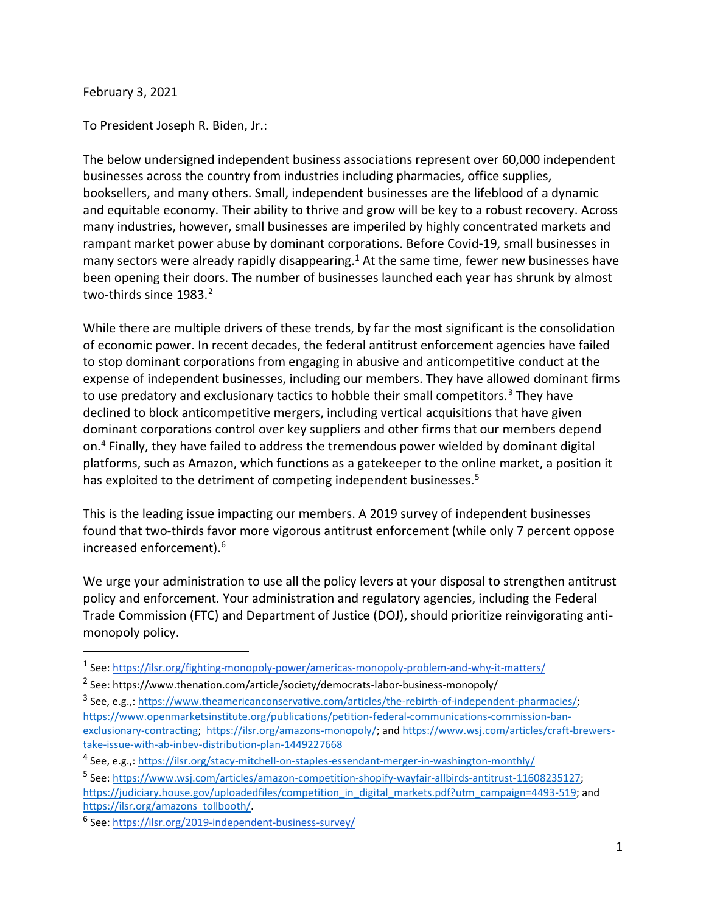February 3, 2021

To President Joseph R. Biden, Jr.:

The below undersigned independent business associations represent over 60,000 independent businesses across the country from industries including pharmacies, office supplies, booksellers, and many others. Small, independent businesses are the lifeblood of a dynamic and equitable economy. Their ability to thrive and grow will be key to a robust recovery. Across many industries, however, small businesses are imperiled by highly concentrated markets and rampant market power abuse by dominant corporations. Before Covid-19, small businesses in many sectors were already rapidly disappearing.<sup>1</sup> At the same time, fewer new businesses have been opening their doors. The number of businesses launched each year has shrunk by almost two-thirds since 1983.<sup>2</sup>

While there are multiple drivers of these trends, by far the most significant is the consolidation of economic power. In recent decades, the federal antitrust enforcement agencies have failed to stop dominant corporations from engaging in abusive and anticompetitive conduct at the expense of independent businesses, including our members. They have allowed dominant firms to use predatory and exclusionary tactics to hobble their small competitors.<sup>3</sup> They have declined to block anticompetitive mergers, including vertical acquisitions that have given dominant corporations control over key suppliers and other firms that our members depend on.<sup>4</sup> Finally, they have failed to address the tremendous power wielded by dominant digital platforms, such as Amazon, which functions as a gatekeeper to the online market, a position it has exploited to the detriment of competing independent businesses.<sup>5</sup>

This is the leading issue impacting our members. A 2019 survey of independent businesses found that two-thirds favor more vigorous antitrust enforcement (while only 7 percent oppose increased enforcement).<sup>6</sup>

We urge your administration to use all the policy levers at your disposal to strengthen antitrust policy and enforcement. Your administration and regulatory agencies, including the Federal Trade Commission (FTC) and Department of Justice (DOJ), should prioritize reinvigorating antimonopoly policy.

<sup>&</sup>lt;sup>1</sup> See: <https://ilsr.org/fighting-monopoly-power/americas-monopoly-problem-and-why-it-matters/>

<sup>&</sup>lt;sup>2</sup> See: https://www.thenation.com/article/society/democrats-labor-business-monopoly/

<sup>&</sup>lt;sup>3</sup> See, e.g.,: [https://www.theamericanconservative.com/articles/the-rebirth-of-independent-pharmacies/;](https://www.theamericanconservative.com/articles/the-rebirth-of-independent-pharmacies/) [https://www.openmarketsinstitute.org/publications/petition-federal-communications-commission-ban](https://www.openmarketsinstitute.org/publications/petition-federal-communications-commission-ban-exclusionary-contracting)[exclusionary-contracting;](https://www.openmarketsinstitute.org/publications/petition-federal-communications-commission-ban-exclusionary-contracting) [https://ilsr.org/amazons-monopoly/;](https://ilsr.org/amazons-monopoly/) and [https://www.wsj.com/articles/craft-brewers](https://www.wsj.com/articles/craft-brewers-take-issue-with-ab-inbev-distribution-plan-1449227668)[take-issue-with-ab-inbev-distribution-plan-1449227668](https://www.wsj.com/articles/craft-brewers-take-issue-with-ab-inbev-distribution-plan-1449227668)

<sup>&</sup>lt;sup>4</sup> See, e.g.,:<https://ilsr.org/stacy-mitchell-on-staples-essendant-merger-in-washington-monthly/>

<sup>&</sup>lt;sup>5</sup> See: [https://www.wsj.com/articles/amazon-competition-shopify-wayfair-allbirds-antitrust-11608235127;](https://www.wsj.com/articles/amazon-competition-shopify-wayfair-allbirds-antitrust-11608235127) [https://judiciary.house.gov/uploadedfiles/competition\\_in\\_digital\\_markets.pdf?utm\\_campaign=4493-519;](https://judiciary.house.gov/uploadedfiles/competition_in_digital_markets.pdf?utm_campaign=4493-519) and [https://ilsr.org/amazons\\_tollbooth/.](https://ilsr.org/amazons_tollbooth/)

<sup>&</sup>lt;sup>6</sup> See: <https://ilsr.org/2019-independent-business-survey/>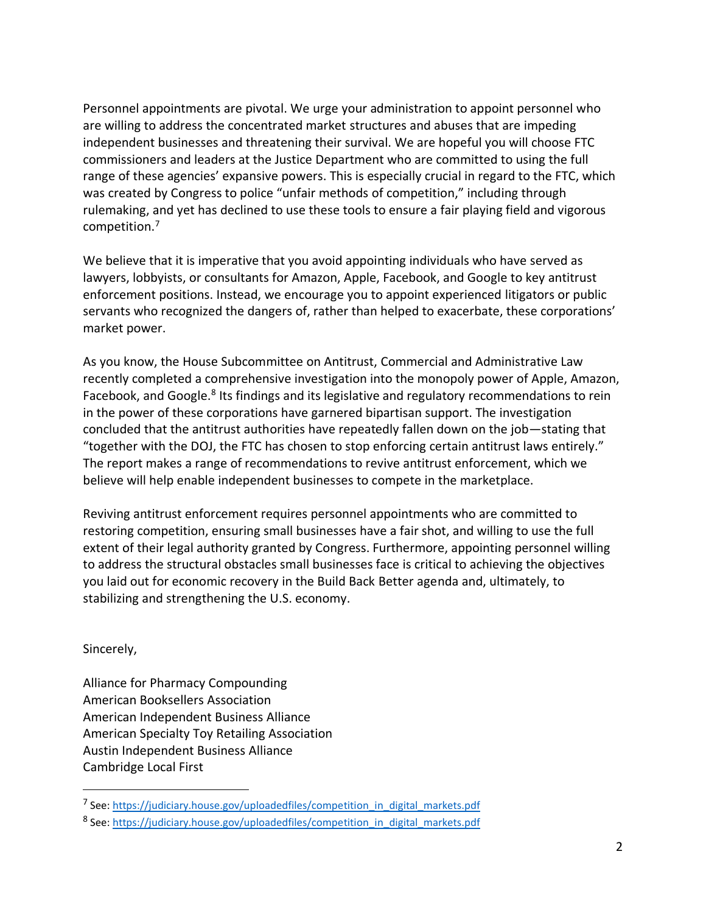Personnel appointments are pivotal. We urge your administration to appoint personnel who are willing to address the concentrated market structures and abuses that are impeding independent businesses and threatening their survival. We are hopeful you will choose FTC commissioners and leaders at the Justice Department who are committed to using the full range of these agencies' expansive powers. This is especially crucial in regard to the FTC, which was created by Congress to police "unfair methods of competition," including through rulemaking, and yet has declined to use these tools to ensure a fair playing field and vigorous competition.<sup>7</sup>

We believe that it is imperative that you avoid appointing individuals who have served as lawyers, lobbyists, or consultants for Amazon, Apple, Facebook, and Google to key antitrust enforcement positions. Instead, we encourage you to appoint experienced litigators or public servants who recognized the dangers of, rather than helped to exacerbate, these corporations' market power.

As you know, the House Subcommittee on Antitrust, Commercial and Administrative Law recently completed a comprehensive investigation into the monopoly power of Apple, Amazon, Facebook, and Google.<sup>8</sup> Its findings and its legislative and regulatory recommendations to rein in the power of these corporations have garnered bipartisan support. The investigation concluded that the antitrust authorities have repeatedly fallen down on the job—stating that "together with the DOJ, the FTC has chosen to stop enforcing certain antitrust laws entirely." The report makes a range of recommendations to revive antitrust enforcement, which we believe will help enable independent businesses to compete in the marketplace.

Reviving antitrust enforcement requires personnel appointments who are committed to restoring competition, ensuring small businesses have a fair shot, and willing to use the full extent of their legal authority granted by Congress. Furthermore, appointing personnel willing to address the structural obstacles small businesses face is critical to achieving the objectives you laid out for economic recovery in the Build Back Better agenda and, ultimately, to stabilizing and strengthening the U.S. economy.

Sincerely,

Alliance for Pharmacy Compounding American Booksellers Association American Independent Business Alliance American Specialty Toy Retailing Association Austin Independent Business Alliance Cambridge Local First

<sup>&</sup>lt;sup>7</sup> See: [https://judiciary.house.gov/uploadedfiles/competition\\_in\\_digital\\_markets.pdf](https://judiciary.house.gov/uploadedfiles/competition_in_digital_markets.pdf)

<sup>&</sup>lt;sup>8</sup> See: [https://judiciary.house.gov/uploadedfiles/competition\\_in\\_digital\\_markets.pdf](https://judiciary.house.gov/uploadedfiles/competition_in_digital_markets.pdf)